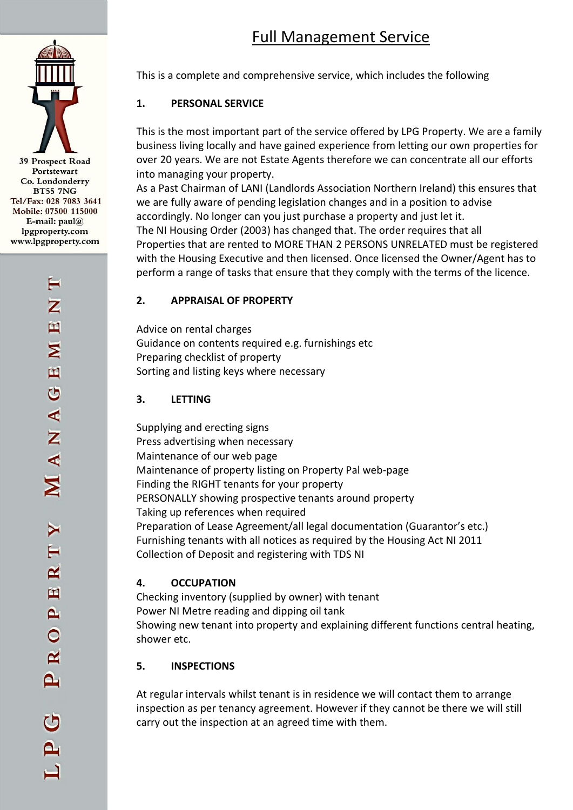# Full Management Service



Z  $\mathbf{\overline{u}}$  $\mathbf{z}$  $\mathbf{H}$  $\breve{\circ}$ ANA

 $\mathbf{R}$ 

凹

 $\mathbf{p}$ 

 $\ddot{\circ}$ 

 $\mathbf{R}$ 

 $\mathbf{a}$ 

This is a complete and comprehensive service, which includes the following

# **1. PERSONAL SERVICE**

This is the most important part of the service offered by LPG Property. We are a family business living locally and have gained experience from letting our own properties for over 20 years. We are not Estate Agents therefore we can concentrate all our efforts into managing your property.

As a Past Chairman of LANI (Landlords Association Northern Ireland) this ensures that we are fully aware of pending legislation changes and in a position to advise accordingly. No longer can you just purchase a property and just let it. The NI Housing Order (2003) has changed that. The order requires that all Properties that are rented to MORE THAN 2 PERSONS UNRELATED must be registered with the Housing Executive and then licensed. Once licensed the Owner/Agent has to perform a range of tasks that ensure that they comply with the terms of the licence.

#### **2. APPRAISAL OF PROPERTY**

Advice on rental charges Guidance on contents required e.g. furnishings etc Preparing checklist of property Sorting and listing keys where necessary

#### **3. LETTING**

Supplying and erecting signs Press advertising when necessary Maintenance of our web page Maintenance of property listing on Property Pal web-page Finding the RIGHT tenants for your property PERSONALLY showing prospective tenants around property Taking up references when required Preparation of Lease Agreement/all legal documentation (Guarantor's etc.) Furnishing tenants with all notices as required by the Housing Act NI 2011 Collection of Deposit and registering with TDS NI

#### **4. OCCUPATION**

Checking inventory (supplied by owner) with tenant Power NI Metre reading and dipping oil tank Showing new tenant into property and explaining different functions central heating, shower etc.

#### **5. INSPECTIONS**

At regular intervals whilst tenant is in residence we will contact them to arrange inspection as per tenancy agreement. However if they cannot be there we will still carry out the inspection at an agreed time with them.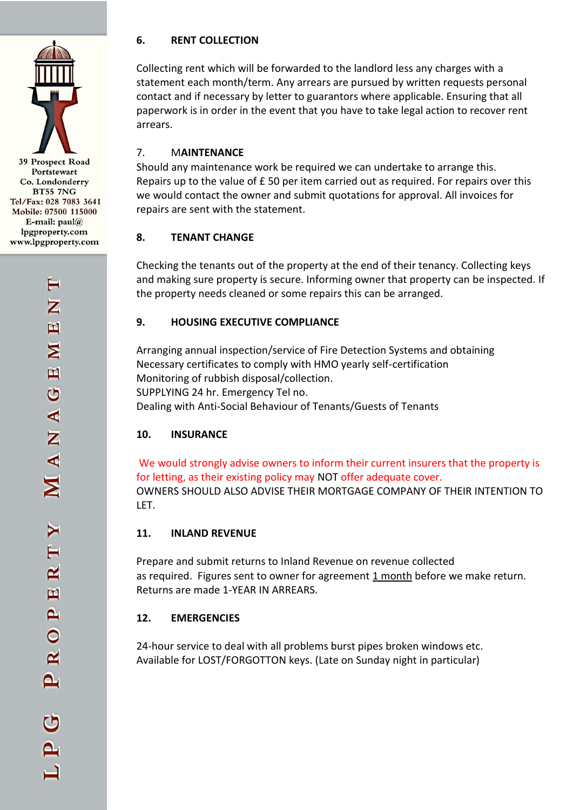#### **6. RENT COLLECTION**

Collecting rent which will be forwarded to the landlord less any charges with a statement each month/term. Any arrears are pursued by written requests personal contact and if necessary by letter to guarantors where applicable. Ensuring that all paperwork is in order in the event that you have to take legal action to recover rent arrears.

# 7. M**AINTENANCE**

Should any maintenance work be required we can undertake to arrange this. Repairs up to the value of £ 50 per item carried out as required. For repairs over this we would contact the owner and submit quotations for approval. All invoices for repairs are sent with the statement.

#### **8. TENANT CHANGE**

Checking the tenants out of the property at the end of their tenancy. Collecting keys and making sure property is secure. Informing owner that property can be inspected. If the property needs cleaned or some repairs this can be arranged.

#### **9. HOUSING EXECUTIVE COMPLIANCE**

Arranging annual inspection/service of Fire Detection Systems and obtaining Necessary certificates to comply with HMO yearly self-certification Monitoring of rubbish disposal/collection. SUPPLYING 24 hr. Emergency Tel no. Dealing with Anti-Social Behaviour of Tenants/Guests of Tenants

# **10. INSURANCE**

We would strongly advise owners to inform their current insurers that the property is for letting, as their existing policy may NOT offer adequate cover. OWNERS SHOULD ALSO ADVISE THEIR MORTGAGE COMPANY OF THEIR INTENTION TO LET.

# **11. INLAND REVENUE**

Prepare and submit returns to Inland Revenue on revenue collected as required. Figures sent to owner for agreement 1 month before we make return. Returns are made 1-YEAR IN ARREARS.

# **12. EMERGENCIES**

24-hour service to deal with all problems burst pipes broken windows etc. Available for LOST/FORGOTTON keys. (Late on Sunday night in particular)

39 Prospect Road Portstewart Co. Londonderry **BT55 7NG** Tel/Fax: 028 7083 3641 Mobile: 07500 115000 E-mail:  $paul@$ lpgproperty.com www.lpgproperty.com